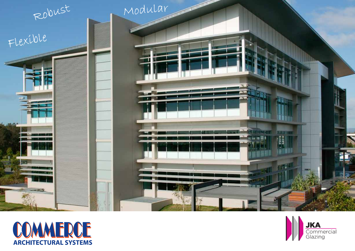



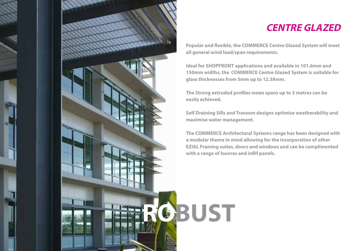

## **CENTRE GLAZED**

**Popular and flexible, the COMMERCE Centre Glazed System will meet all general wind load/span requirements.**

**Ideal for SHOPFRONT applications and available in 101.6mm and 150mm widths, the COMMERCE Centre Glazed System is suitable for glass thicknesses from 5mm up to 12.38mm.**

**The Strong extruded profiles mean spans up to 3 metres can be easily achieved.**

**Self Draining Sills and Transom designs optimise weatherability and maximise water management.**

**The COMMERCE Architectural Systems range has been designed with a modular theme in mind allowing for the incorporation of other EZIAL Framing suites, doors and windows and can be complimented with a range of louvres and infill panels.**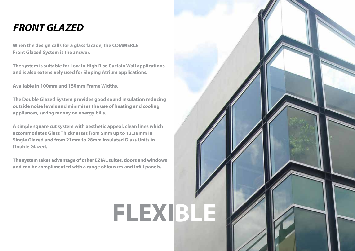## **FRONT GLAZED**

**When the design calls for a glass facade, the COMMERCE Front Glazed System is the answer.** 

**The system is suitable for Low to High Rise Curtain Wall applications and is also extensively used for Sloping Atrium applications.** 

**Available in 100mm and 150mm Frame Widths.**

**The Double Glazed System provides good sound insulation reducing outside noise levels and minimises the use of heating and cooling appliances, saving money on energy bills.**

**A simple square cut system with aesthetic appeal, clean lines which accommodates Glass Thicknesses from 5mm up to 12.38mm in Single Glazed and from 21mm to 28mm Insulated Glass Units in Double Glazed.** 

**The system takes advantage of other EZIAL suites, doors and windows and can be complimented with a range of louvres and infill panels.**

## **FLEXIBLE**